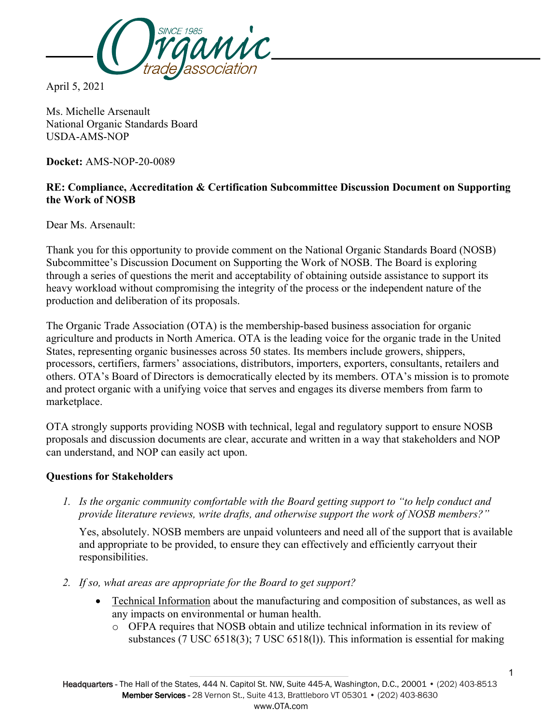

April 5, 2021

Ms. Michelle Arsenault National Organic Standards Board USDA-AMS-NOP

**Docket:** AMS-NOP-20-0089

## **RE: Compliance, Accreditation & Certification Subcommittee Discussion Document on Supporting the Work of NOSB**

Dear Ms. Arsenault:

Thank you for this opportunity to provide comment on the National Organic Standards Board (NOSB) Subcommittee's Discussion Document on Supporting the Work of NOSB. The Board is exploring through a series of questions the merit and acceptability of obtaining outside assistance to support its heavy workload without compromising the integrity of the process or the independent nature of the production and deliberation of its proposals.

The Organic Trade Association (OTA) is the membership-based business association for organic agriculture and products in North America. OTA is the leading voice for the organic trade in the United States, representing organic businesses across 50 states. Its members include growers, shippers, processors, certifiers, farmers' associations, distributors, importers, exporters, consultants, retailers and others. OTA's Board of Directors is democratically elected by its members. OTA's mission is to promote and protect organic with a unifying voice that serves and engages its diverse members from farm to marketplace.

OTA strongly supports providing NOSB with technical, legal and regulatory support to ensure NOSB proposals and discussion documents are clear, accurate and written in a way that stakeholders and NOP can understand, and NOP can easily act upon.

## **Questions for Stakeholders**

*1. Is the organic community comfortable with the Board getting support to "to help conduct and provide literature reviews, write drafts, and otherwise support the work of NOSB members?"* 

Yes, absolutely. NOSB members are unpaid volunteers and need all of the support that is available and appropriate to be provided, to ensure they can effectively and efficiently carryout their responsibilities.

- *2. If so, what areas are appropriate for the Board to get support?* 
	- Technical Information about the manufacturing and composition of substances, as well as any impacts on environmental or human health.
		- o OFPA requires that NOSB obtain and utilize technical information in its review of substances (7 USC 6518(3); 7 USC 6518(l)). This information is essential for making

Headquarters - The Hall of the States, 444 N. Capitol St. NW, Suite 445-A, Washington, D.C., 20001 • (202) 403-8513 Member Services - 28 Vernon St., Suite 413, Brattleboro VT 05301 • (202) 403-8630 www.OTA.com

1